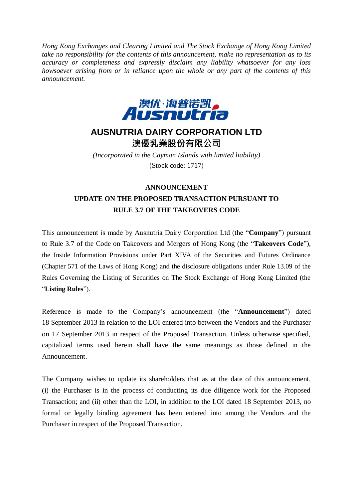*Hong Kong Exchanges and Clearing Limited and The Stock Exchange of Hong Kong Limited take no responsibility for the contents of this announcement, make no representation as to its accuracy or completeness and expressly disclaim any liability whatsoever for any loss howsoever arising from or in reliance upon the whole or any part of the contents of this announcement.*



## **AUSNUTRIA DAIRY CORPORATION LTD**

澳優乳業股份有限公司

*(Incorporated in the Cayman Islands with limited liability)* (Stock code: 1717)

## **ANNOUNCEMENT UPDATE ON THE PROPOSED TRANSACTION PURSUANT TO RULE 3.7 OF THE TAKEOVERS CODE**

This announcement is made by Ausnutria Dairy Corporation Ltd (the "**Company**") pursuant to Rule 3.7 of the Code on Takeovers and Mergers of Hong Kong (the "**Takeovers Code**"), the Inside Information Provisions under Part XIVA of the Securities and Futures Ordinance (Chapter 571 of the Laws of Hong Kong) and the disclosure obligations under Rule 13.09 of the Rules Governing the Listing of Securities on The Stock Exchange of Hong Kong Limited (the "**Listing Rules**").

Reference is made to the Company's announcement (the "**Announcement**") dated 18 September 2013 in relation to the LOI entered into between the Vendors and the Purchaser on 17 September 2013 in respect of the Proposed Transaction. Unless otherwise specified, capitalized terms used herein shall have the same meanings as those defined in the Announcement.

The Company wishes to update its shareholders that as at the date of this announcement, (i) the Purchaser is in the process of conducting its due diligence work for the Proposed Transaction; and (ii) other than the LOI, in addition to the LOI dated 18 September 2013, no formal or legally binding agreement has been entered into among the Vendors and the Purchaser in respect of the Proposed Transaction.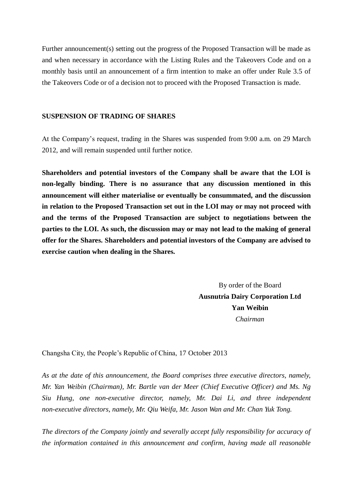Further announcement(s) setting out the progress of the Proposed Transaction will be made as and when necessary in accordance with the Listing Rules and the Takeovers Code and on a monthly basis until an announcement of a firm intention to make an offer under Rule 3.5 of the Takeovers Code or of a decision not to proceed with the Proposed Transaction is made.

## **SUSPENSION OF TRADING OF SHARES**

At the Company's request, trading in the Shares was suspended from 9:00 a.m. on 29 March 2012, and will remain suspended until further notice.

**Shareholders and potential investors of the Company shall be aware that the LOI is non-legally binding. There is no assurance that any discussion mentioned in this announcement will either materialise or eventually be consummated, and the discussion in relation to the Proposed Transaction set out in the LOI may or may not proceed with and the terms of the Proposed Transaction are subject to negotiations between the parties to the LOI. As such, the discussion may or may not lead to the making of general offer for the Shares. Shareholders and potential investors of the Company are advised to exercise caution when dealing in the Shares.**

> By order of the Board **Ausnutria Dairy Corporation Ltd Yan Weibin** *Chairman*

Changsha City, the People's Republic of China, 17 October 2013

*As at the date of this announcement, the Board comprises three executive directors, namely, Mr. Yan Weibin (Chairman), Mr. Bartle van der Meer (Chief Executive Officer) and Ms. Ng Siu Hung, one non-executive director, namely, Mr. Dai Li, and three independent non-executive directors, namely, Mr. Qiu Weifa, Mr. Jason Wan and Mr. Chan Yuk Tong.*

*The directors of the Company jointly and severally accept fully responsibility for accuracy of the information contained in this announcement and confirm, having made all reasonable*